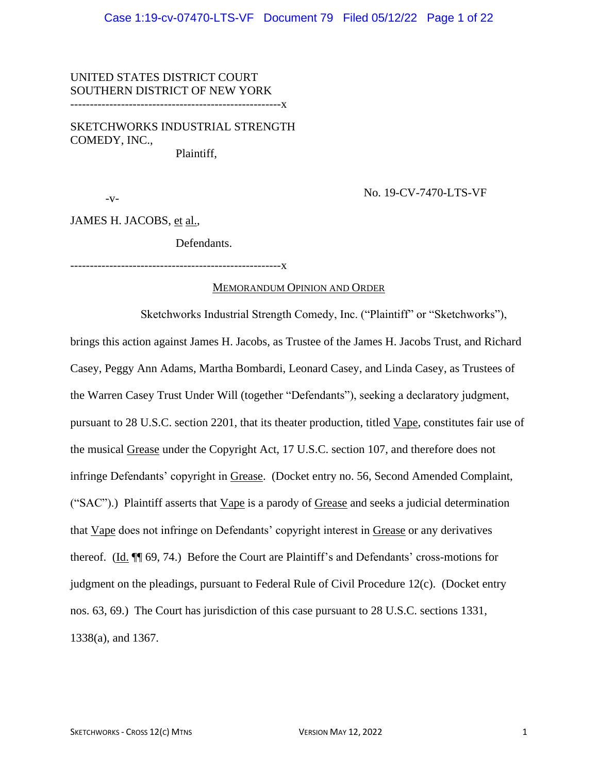UNITED STATES DISTRICT COURT SOUTHERN DISTRICT OF NEW YORK

------------------------------------------------------x

SKETCHWORKS INDUSTRIAL STRENGTH COMEDY, INC., Plaintiff,

 $-V$ -

No. 19-CV-7470-LTS-VF

JAMES H. JACOBS, et al.,

Defendants.

------------------------------------------------------x

#### MEMORANDUM OPINION AND ORDER

Sketchworks Industrial Strength Comedy, Inc. ("Plaintiff" or "Sketchworks"), brings this action against James H. Jacobs, as Trustee of the James H. Jacobs Trust, and Richard Casey, Peggy Ann Adams, Martha Bombardi, Leonard Casey, and Linda Casey, as Trustees of the Warren Casey Trust Under Will (together "Defendants"), seeking a declaratory judgment, pursuant to 28 U.S.C. section 2201, that its theater production, titled Vape, constitutes fair use of the musical Grease under the Copyright Act, 17 U.S.C. section 107, and therefore does not infringe Defendants' copyright in Grease. (Docket entry no. 56, Second Amended Complaint, ("SAC").) Plaintiff asserts that Vape is a parody of Grease and seeks a judicial determination that Vape does not infringe on Defendants' copyright interest in Grease or any derivatives thereof. (Id. ¶¶ 69, 74.) Before the Court are Plaintiff's and Defendants' cross-motions for judgment on the pleadings, pursuant to Federal Rule of Civil Procedure 12(c). (Docket entry nos. 63, 69.) The Court has jurisdiction of this case pursuant to 28 U.S.C. sections 1331, 1338(a), and 1367.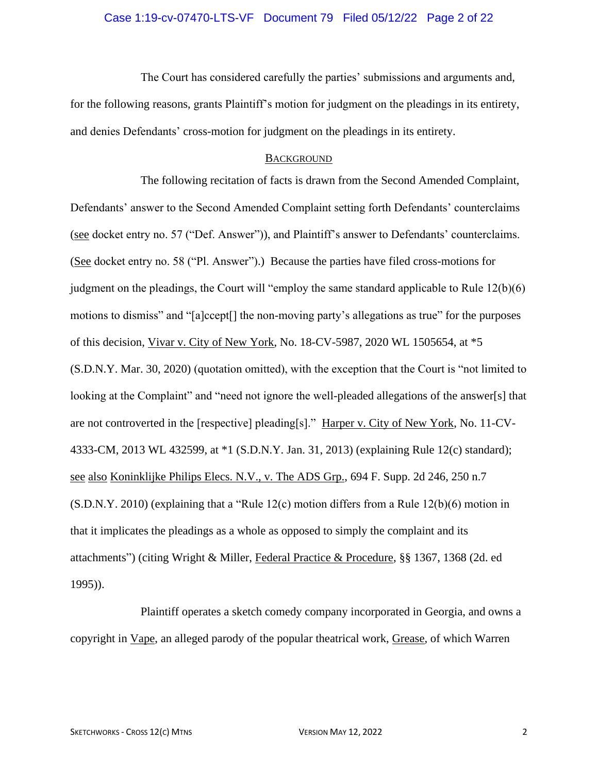# Case 1:19-cv-07470-LTS-VF Document 79 Filed 05/12/22 Page 2 of 22

The Court has considered carefully the parties' submissions and arguments and, for the following reasons, grants Plaintiff's motion for judgment on the pleadings in its entirety, and denies Defendants' cross-motion for judgment on the pleadings in its entirety.

### **BACKGROUND**

The following recitation of facts is drawn from the Second Amended Complaint, Defendants' answer to the Second Amended Complaint setting forth Defendants' counterclaims (see docket entry no. 57 ("Def. Answer")), and Plaintiff's answer to Defendants' counterclaims. (See docket entry no. 58 ("Pl. Answer").) Because the parties have filed cross-motions for judgment on the pleadings, the Court will "employ the same standard applicable to Rule 12(b)(6) motions to dismiss" and "[a]ccept[] the non-moving party's allegations as true" for the purposes of this decision, Vivar v. City of New York, No. 18-CV-5987, 2020 WL 1505654, at \*5 (S.D.N.Y. Mar. 30, 2020) (quotation omitted), with the exception that the Court is "not limited to looking at the Complaint" and "need not ignore the well-pleaded allegations of the answer[s] that are not controverted in the [respective] pleading[s]." Harper v. City of New York, No. 11-CV-4333-CM, 2013 WL 432599, at \*1 (S.D.N.Y. Jan. 31, 2013) (explaining Rule 12(c) standard); see also Koninklijke Philips Elecs. N.V., v. The ADS Grp., 694 F. Supp. 2d 246, 250 n.7 (S.D.N.Y. 2010) (explaining that a "Rule 12(c) motion differs from a Rule 12(b)(6) motion in that it implicates the pleadings as a whole as opposed to simply the complaint and its attachments") (citing Wright & Miller, Federal Practice & Procedure, §§ 1367, 1368 (2d. ed 1995)).

Plaintiff operates a sketch comedy company incorporated in Georgia, and owns a copyright in Vape, an alleged parody of the popular theatrical work, Grease, of which Warren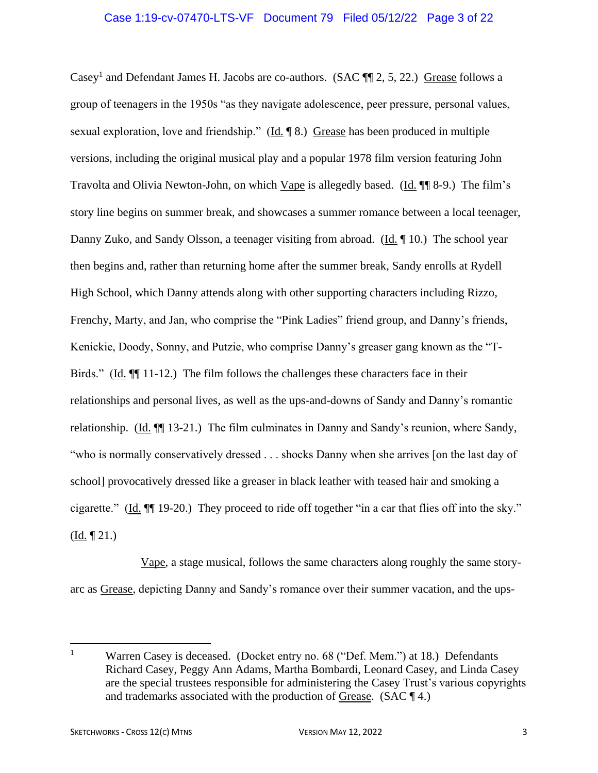### Case 1:19-cv-07470-LTS-VF Document 79 Filed 05/12/22 Page 3 of 22

Casey<sup>1</sup> and Defendant James H. Jacobs are co-authors. (SAC  $\P$  2, 5, 22.) Grease follows a group of teenagers in the 1950s "as they navigate adolescence, peer pressure, personal values, sexual exploration, love and friendship." (Id. ¶ 8.) Grease has been produced in multiple versions, including the original musical play and a popular 1978 film version featuring John Travolta and Olivia Newton-John, on which Vape is allegedly based. (Id. ¶¶ 8-9.) The film's story line begins on summer break, and showcases a summer romance between a local teenager, Danny Zuko, and Sandy Olsson, a teenager visiting from abroad. (Id.  $\P$  10.) The school year then begins and, rather than returning home after the summer break, Sandy enrolls at Rydell High School, which Danny attends along with other supporting characters including Rizzo, Frenchy, Marty, and Jan, who comprise the "Pink Ladies" friend group, and Danny's friends, Kenickie, Doody, Sonny, and Putzie, who comprise Danny's greaser gang known as the "T-Birds." (Id. ¶¶ 11-12.) The film follows the challenges these characters face in their relationships and personal lives, as well as the ups-and-downs of Sandy and Danny's romantic relationship. (Id. ¶¶ 13-21.) The film culminates in Danny and Sandy's reunion, where Sandy, "who is normally conservatively dressed . . . shocks Danny when she arrives [on the last day of school] provocatively dressed like a greaser in black leather with teased hair and smoking a cigarette." (Id. ¶¶ 19-20.) They proceed to ride off together "in a car that flies off into the sky."  $(\underline{Id.} \P 21.)$ 

Vape, a stage musical, follows the same characters along roughly the same storyarc as Grease, depicting Danny and Sandy's romance over their summer vacation, and the ups-

<sup>&</sup>lt;sup>1</sup> Warren Casey is deceased. (Docket entry no. 68 ("Def. Mem.") at 18.) Defendants Richard Casey, Peggy Ann Adams, Martha Bombardi, Leonard Casey, and Linda Casey are the special trustees responsible for administering the Casey Trust's various copyrights and trademarks associated with the production of Grease. (SAC  $\P$  4.)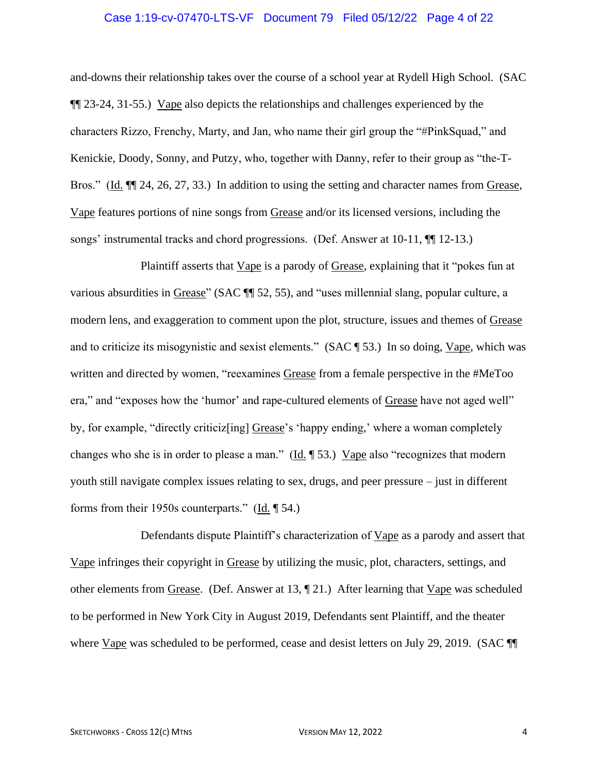### Case 1:19-cv-07470-LTS-VF Document 79 Filed 05/12/22 Page 4 of 22

and-downs their relationship takes over the course of a school year at Rydell High School. (SAC ¶¶ 23-24, 31-55.) Vape also depicts the relationships and challenges experienced by the characters Rizzo, Frenchy, Marty, and Jan, who name their girl group the "#PinkSquad," and Kenickie, Doody, Sonny, and Putzy, who, together with Danny, refer to their group as "the-T-Bros." (Id. ¶¶ 24, 26, 27, 33.) In addition to using the setting and character names from Grease, Vape features portions of nine songs from Grease and/or its licensed versions, including the songs' instrumental tracks and chord progressions. (Def. Answer at 10-11, ¶¶ 12-13.)

Plaintiff asserts that Vape is a parody of Grease, explaining that it "pokes fun at various absurdities in Grease" (SAC ¶¶ 52, 55), and "uses millennial slang, popular culture, a modern lens, and exaggeration to comment upon the plot, structure, issues and themes of Grease and to criticize its misogynistic and sexist elements." (SAC ¶ 53.) In so doing, Vape, which was written and directed by women, "reexamines Grease from a female perspective in the #MeToo era," and "exposes how the 'humor' and rape-cultured elements of Grease have not aged well" by, for example, "directly criticiz[ing] Grease's 'happy ending,' where a woman completely changes who she is in order to please a man." (Id. ¶ 53.) Vape also "recognizes that modern youth still navigate complex issues relating to sex, drugs, and peer pressure – just in different forms from their 1950s counterparts." (Id. ¶ 54.)

Defendants dispute Plaintiff's characterization of Vape as a parody and assert that Vape infringes their copyright in Grease by utilizing the music, plot, characters, settings, and other elements from Grease. (Def. Answer at 13, ¶ 21.) After learning that Vape was scheduled to be performed in New York City in August 2019, Defendants sent Plaintiff, and the theater where Vape was scheduled to be performed, cease and desist letters on July 29, 2019. (SAC ¶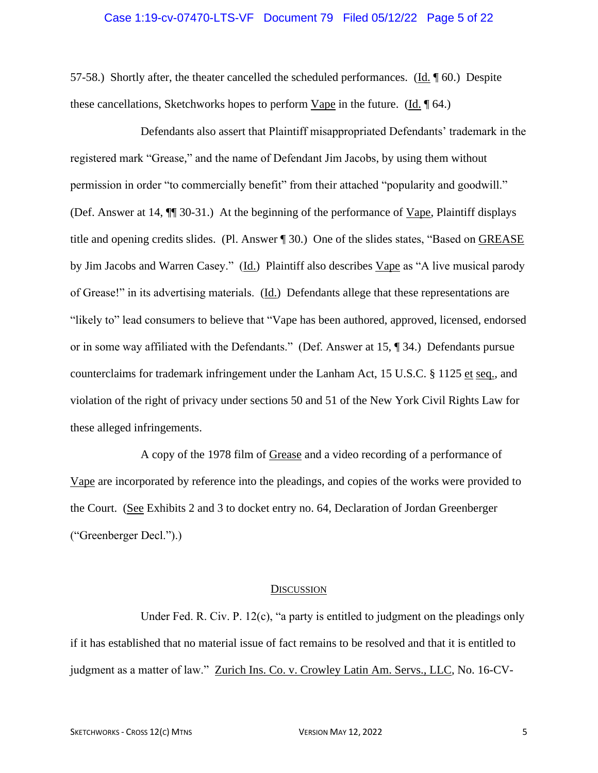### Case 1:19-cv-07470-LTS-VF Document 79 Filed 05/12/22 Page 5 of 22

57-58.) Shortly after, the theater cancelled the scheduled performances. ( $\underline{Id}$ ,  $\P$  60.) Despite these cancellations, Sketchworks hopes to perform Vape in the future. (Id. ¶ 64.)

Defendants also assert that Plaintiff misappropriated Defendants' trademark in the registered mark "Grease," and the name of Defendant Jim Jacobs, by using them without permission in order "to commercially benefit" from their attached "popularity and goodwill." (Def. Answer at 14, ¶¶ 30-31.) At the beginning of the performance of Vape, Plaintiff displays title and opening credits slides. (Pl. Answer ¶ 30.) One of the slides states, "Based on GREASE by Jim Jacobs and Warren Casey." (Id.) Plaintiff also describes Vape as "A live musical parody of Grease!" in its advertising materials. (Id.) Defendants allege that these representations are "likely to" lead consumers to believe that "Vape has been authored, approved, licensed, endorsed or in some way affiliated with the Defendants." (Def. Answer at 15, ¶ 34.) Defendants pursue counterclaims for trademark infringement under the Lanham Act, 15 U.S.C. § 1125 et seq., and violation of the right of privacy under sections 50 and 51 of the New York Civil Rights Law for these alleged infringements.

A copy of the 1978 film of Grease and a video recording of a performance of Vape are incorporated by reference into the pleadings, and copies of the works were provided to the Court. (See Exhibits 2 and 3 to docket entry no. 64, Declaration of Jordan Greenberger ("Greenberger Decl.").)

#### **DISCUSSION**

Under Fed. R. Civ. P. 12(c), "a party is entitled to judgment on the pleadings only if it has established that no material issue of fact remains to be resolved and that it is entitled to judgment as a matter of law." Zurich Ins. Co. v. Crowley Latin Am. Servs., LLC, No. 16-CV-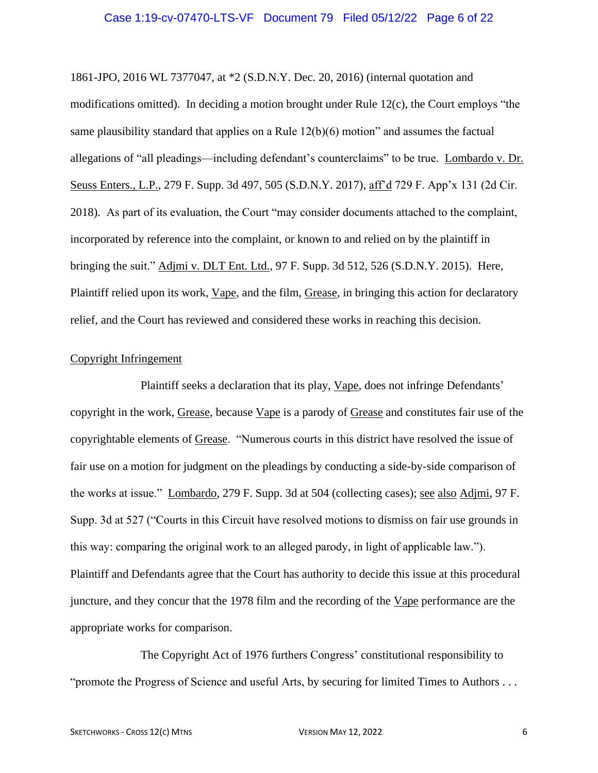### Case 1:19-cv-07470-LTS-VF Document 79 Filed 05/12/22 Page 6 of 22

1861-JPO, 2016 WL 7377047, at \*2 (S.D.N.Y. Dec. 20, 2016) (internal quotation and modifications omitted). In deciding a motion brought under Rule 12(c), the Court employs "the same plausibility standard that applies on a Rule 12(b)(6) motion" and assumes the factual allegations of "all pleadings—including defendant's counterclaims" to be true. Lombardo v. Dr. Seuss Enters., L.P., 279 F. Supp. 3d 497, 505 (S.D.N.Y. 2017), aff'd 729 F. App'x 131 (2d Cir. 2018). As part of its evaluation, the Court "may consider documents attached to the complaint, incorporated by reference into the complaint, or known to and relied on by the plaintiff in bringing the suit." Adjmi v. DLT Ent. Ltd., 97 F. Supp. 3d 512, 526 (S.D.N.Y. 2015). Here, Plaintiff relied upon its work, Vape, and the film, Grease, in bringing this action for declaratory relief, and the Court has reviewed and considered these works in reaching this decision.

#### Copyright Infringement

Plaintiff seeks a declaration that its play, Vape, does not infringe Defendants' copyright in the work, Grease, because Vape is a parody of Grease and constitutes fair use of the copyrightable elements of Grease. "Numerous courts in this district have resolved the issue of fair use on a motion for judgment on the pleadings by conducting a side-by-side comparison of the works at issue." Lombardo, 279 F. Supp. 3d at 504 (collecting cases); see also Adjmi, 97 F. Supp. 3d at 527 ("Courts in this Circuit have resolved motions to dismiss on fair use grounds in this way: comparing the original work to an alleged parody, in light of applicable law."). Plaintiff and Defendants agree that the Court has authority to decide this issue at this procedural juncture, and they concur that the 1978 film and the recording of the Vape performance are the appropriate works for comparison.

The Copyright Act of 1976 furthers Congress' constitutional responsibility to "promote the Progress of Science and useful Arts, by securing for limited Times to Authors . . .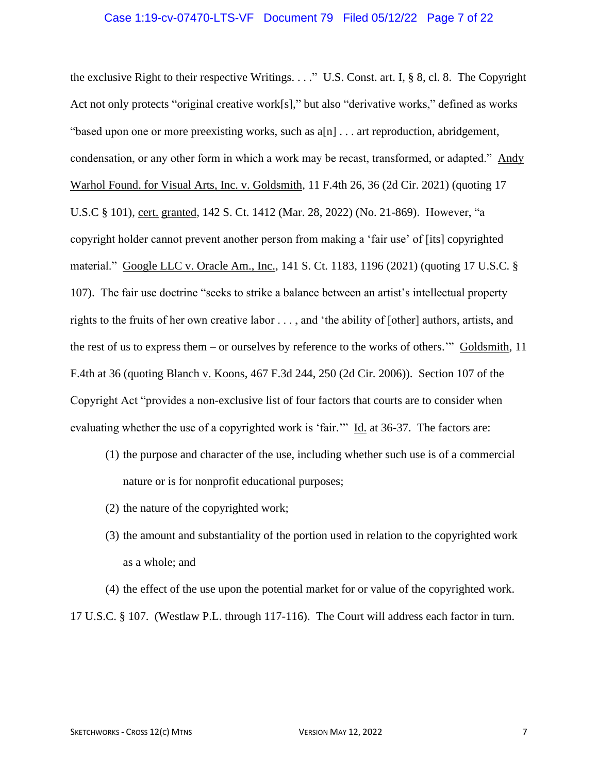### Case 1:19-cv-07470-LTS-VF Document 79 Filed 05/12/22 Page 7 of 22

the exclusive Right to their respective Writings. . . ." U.S. Const. art. I, § 8, cl. 8. The Copyright Act not only protects "original creative work[s]," but also "derivative works," defined as works "based upon one or more preexisting works, such as  $a[n]$ ... art reproduction, abridgement, condensation, or any other form in which a work may be recast, transformed, or adapted." Andy Warhol Found. for Visual Arts, Inc. v. Goldsmith, 11 F.4th 26, 36 (2d Cir. 2021) (quoting 17 U.S.C § 101), cert. granted, 142 S. Ct. 1412 (Mar. 28, 2022) (No. 21-869). However, "a copyright holder cannot prevent another person from making a 'fair use' of [its] copyrighted material." Google LLC v. Oracle Am., Inc., 141 S. Ct. 1183, 1196 (2021) (quoting 17 U.S.C. § 107). The fair use doctrine "seeks to strike a balance between an artist's intellectual property rights to the fruits of her own creative labor . . . , and 'the ability of [other] authors, artists, and the rest of us to express them – or ourselves by reference to the works of others.'" Goldsmith, 11 F.4th at 36 (quoting Blanch v. Koons, 467 F.3d 244, 250 (2d Cir. 2006)). Section 107 of the Copyright Act "provides a non-exclusive list of four factors that courts are to consider when evaluating whether the use of a copyrighted work is 'fair.'" Id. at 36-37. The factors are:

- (1) the purpose and character of the use, including whether such use is of a commercial nature or is for nonprofit educational purposes;
- (2) the nature of the copyrighted work;
- (3) the amount and substantiality of the portion used in relation to the copyrighted work as a whole; and

(4) the effect of the use upon the potential market for or value of the copyrighted work.

17 U.S.C. § 107. (Westlaw P.L. through 117-116). The Court will address each factor in turn.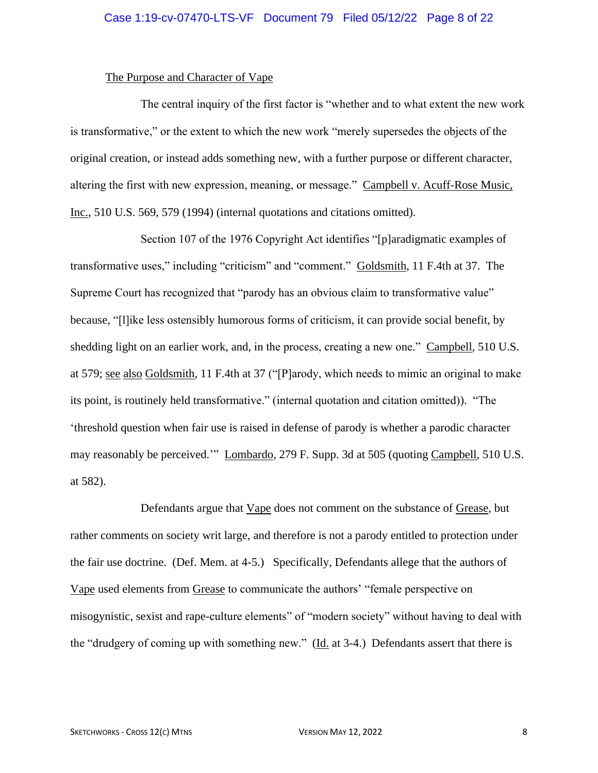#### The Purpose and Character of Vape

The central inquiry of the first factor is "whether and to what extent the new work is transformative," or the extent to which the new work "merely supersedes the objects of the original creation, or instead adds something new, with a further purpose or different character, altering the first with new expression, meaning, or message." Campbell v. Acuff-Rose Music, Inc., 510 U.S. 569, 579 (1994) (internal quotations and citations omitted).

Section 107 of the 1976 Copyright Act identifies "[p]aradigmatic examples of transformative uses," including "criticism" and "comment." Goldsmith, 11 F.4th at 37. The Supreme Court has recognized that "parody has an obvious claim to transformative value" because, "[l]ike less ostensibly humorous forms of criticism, it can provide social benefit, by shedding light on an earlier work, and, in the process, creating a new one." Campbell, 510 U.S. at 579; see also Goldsmith, 11 F.4th at 37 ("[P]arody, which needs to mimic an original to make its point, is routinely held transformative." (internal quotation and citation omitted)). "The 'threshold question when fair use is raised in defense of parody is whether a parodic character may reasonably be perceived.'" Lombardo, 279 F. Supp. 3d at 505 (quoting Campbell, 510 U.S. at 582).

Defendants argue that Vape does not comment on the substance of Grease, but rather comments on society writ large, and therefore is not a parody entitled to protection under the fair use doctrine. (Def. Mem. at 4-5.) Specifically, Defendants allege that the authors of Vape used elements from Grease to communicate the authors' "female perspective on misogynistic, sexist and rape-culture elements" of "modern society" without having to deal with the "drudgery of coming up with something new." (Id. at 3-4.) Defendants assert that there is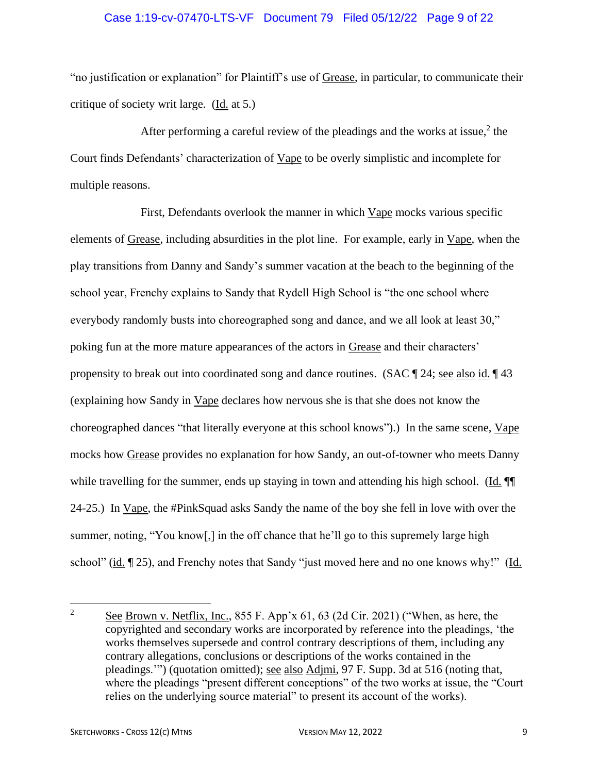### Case 1:19-cv-07470-LTS-VF Document 79 Filed 05/12/22 Page 9 of 22

"no justification or explanation" for Plaintiff's use of Grease, in particular, to communicate their critique of society writ large. (Id. at 5.)

After performing a careful review of the pleadings and the works at issue, $2$  the Court finds Defendants' characterization of Vape to be overly simplistic and incomplete for multiple reasons.

First, Defendants overlook the manner in which Vape mocks various specific elements of Grease, including absurdities in the plot line. For example, early in Vape, when the play transitions from Danny and Sandy's summer vacation at the beach to the beginning of the school year, Frenchy explains to Sandy that Rydell High School is "the one school where everybody randomly busts into choreographed song and dance, and we all look at least 30," poking fun at the more mature appearances of the actors in Grease and their characters' propensity to break out into coordinated song and dance routines. (SAC  $\parallel$  24; <u>see also id.</u>  $\parallel$  43 (explaining how Sandy in Vape declares how nervous she is that she does not know the choreographed dances "that literally everyone at this school knows").) In the same scene, Vape mocks how Grease provides no explanation for how Sandy, an out-of-towner who meets Danny while travelling for the summer, ends up staying in town and attending his high school. (Id.  $\P$ 24-25.) In Vape, the #PinkSquad asks Sandy the name of the boy she fell in love with over the summer, noting, "You know[,] in the off chance that he'll go to this supremely large high school" (id. ¶ 25), and Frenchy notes that Sandy "just moved here and no one knows why!" (Id.

<sup>&</sup>lt;sup>2</sup> See Brown v. Netflix, Inc.,  $855$  F. App'x  $61, 63$  (2d Cir. 2021) ("When, as here, the copyrighted and secondary works are incorporated by reference into the pleadings, 'the works themselves supersede and control contrary descriptions of them, including any contrary allegations, conclusions or descriptions of the works contained in the pleadings.'") (quotation omitted); see also Adjmi, 97 F. Supp. 3d at 516 (noting that, where the pleadings "present different conceptions" of the two works at issue, the "Court relies on the underlying source material" to present its account of the works).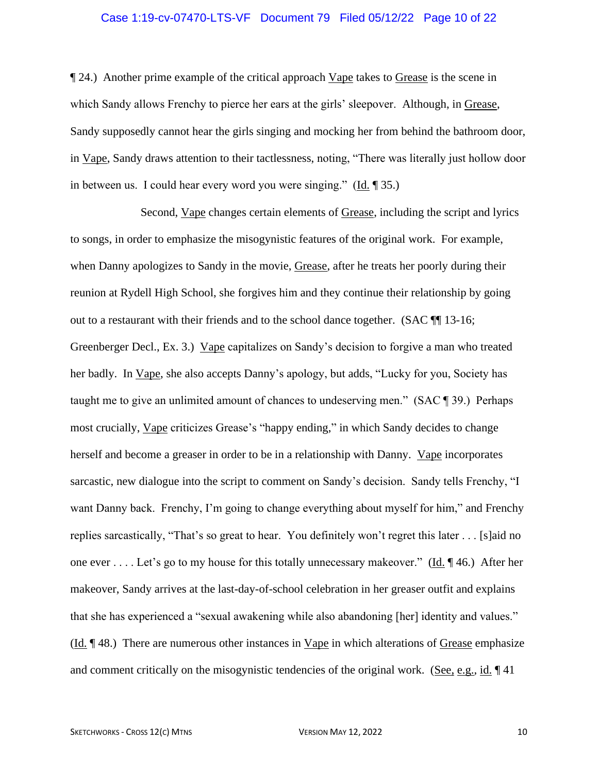# Case 1:19-cv-07470-LTS-VF Document 79 Filed 05/12/22 Page 10 of 22

¶ 24.) Another prime example of the critical approach Vape takes to Grease is the scene in which Sandy allows Frenchy to pierce her ears at the girls' sleepover. Although, in Grease, Sandy supposedly cannot hear the girls singing and mocking her from behind the bathroom door, in Vape, Sandy draws attention to their tactlessness, noting, "There was literally just hollow door in between us. I could hear every word you were singing." (Id. ¶ 35.)

Second, Vape changes certain elements of Grease, including the script and lyrics to songs, in order to emphasize the misogynistic features of the original work. For example, when Danny apologizes to Sandy in the movie, Grease, after he treats her poorly during their reunion at Rydell High School, she forgives him and they continue their relationship by going out to a restaurant with their friends and to the school dance together. (SAC ¶¶ 13-16; Greenberger Decl., Ex. 3.) Vape capitalizes on Sandy's decision to forgive a man who treated her badly. In Vape, she also accepts Danny's apology, but adds, "Lucky for you, Society has taught me to give an unlimited amount of chances to undeserving men." (SAC ¶ 39.) Perhaps most crucially, Vape criticizes Grease's "happy ending," in which Sandy decides to change herself and become a greaser in order to be in a relationship with Danny. Vape incorporates sarcastic, new dialogue into the script to comment on Sandy's decision. Sandy tells Frenchy, "I want Danny back. Frenchy, I'm going to change everything about myself for him," and Frenchy replies sarcastically, "That's so great to hear. You definitely won't regret this later . . . [s]aid no one ever . . . . Let's go to my house for this totally unnecessary makeover." (Id. ¶ 46.) After her makeover, Sandy arrives at the last-day-of-school celebration in her greaser outfit and explains that she has experienced a "sexual awakening while also abandoning [her] identity and values."  $(\underline{Id}$ .  $\P$  48.) There are numerous other instances in Vape in which alterations of Grease emphasize and comment critically on the misogynistic tendencies of the original work. (See, e.g., id.  $\P$  41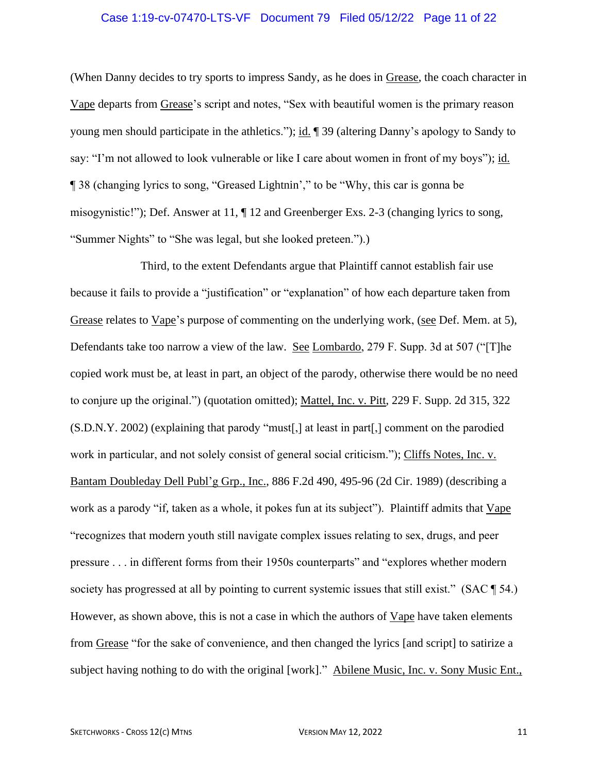# Case 1:19-cv-07470-LTS-VF Document 79 Filed 05/12/22 Page 11 of 22

(When Danny decides to try sports to impress Sandy, as he does in Grease, the coach character in Vape departs from Grease's script and notes, "Sex with beautiful women is the primary reason young men should participate in the athletics."); id. ¶ 39 (altering Danny's apology to Sandy to say: "I'm not allowed to look vulnerable or like I care about women in front of my boys"); id. ¶ 38 (changing lyrics to song, "Greased Lightnin'," to be "Why, this car is gonna be misogynistic!"); Def. Answer at 11, ¶ 12 and Greenberger Exs. 2-3 (changing lyrics to song, "Summer Nights" to "She was legal, but she looked preteen.").)

Third, to the extent Defendants argue that Plaintiff cannot establish fair use because it fails to provide a "justification" or "explanation" of how each departure taken from Grease relates to Vape's purpose of commenting on the underlying work, (see Def. Mem. at 5), Defendants take too narrow a view of the law. See Lombardo, 279 F. Supp. 3d at 507 ("[T]he copied work must be, at least in part, an object of the parody, otherwise there would be no need to conjure up the original.") (quotation omitted); Mattel, Inc. v. Pitt, 229 F. Supp. 2d 315, 322 (S.D.N.Y. 2002) (explaining that parody "must[,] at least in part[,] comment on the parodied work in particular, and not solely consist of general social criticism."); Cliffs Notes, Inc. v. Bantam Doubleday Dell Publ'g Grp., Inc., 886 F.2d 490, 495-96 (2d Cir. 1989) (describing a work as a parody "if, taken as a whole, it pokes fun at its subject"). Plaintiff admits that Vape "recognizes that modern youth still navigate complex issues relating to sex, drugs, and peer pressure . . . in different forms from their 1950s counterparts" and "explores whether modern society has progressed at all by pointing to current systemic issues that still exist." (SAC ¶ 54.) However, as shown above, this is not a case in which the authors of Vape have taken elements from Grease "for the sake of convenience, and then changed the lyrics [and script] to satirize a subject having nothing to do with the original [work]." Abilene Music, Inc. v. Sony Music Ent.,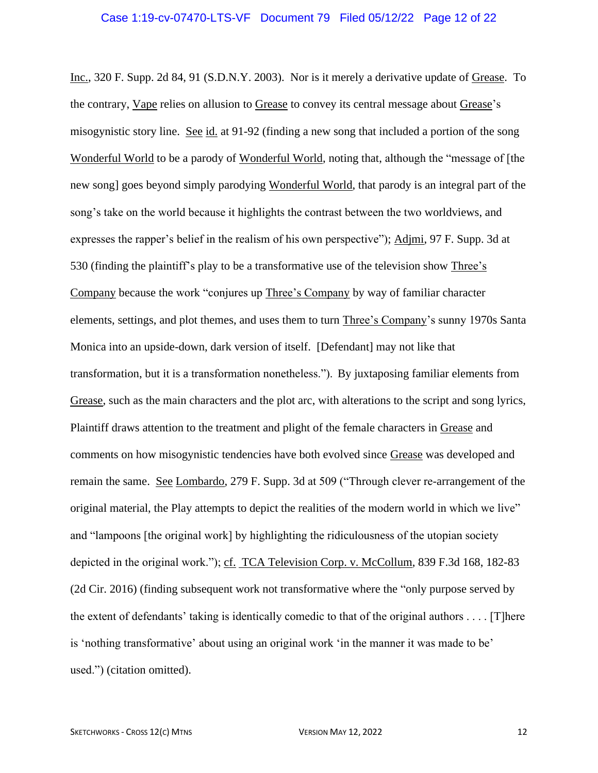Inc., 320 F. Supp. 2d 84, 91 (S.D.N.Y. 2003). Nor is it merely a derivative update of Grease. To the contrary, Vape relies on allusion to Grease to convey its central message about Grease's misogynistic story line. See id. at 91-92 (finding a new song that included a portion of the song Wonderful World to be a parody of Wonderful World, noting that, although the "message of [the new song] goes beyond simply parodying Wonderful World, that parody is an integral part of the song's take on the world because it highlights the contrast between the two worldviews, and expresses the rapper's belief in the realism of his own perspective"); Adjmi, 97 F. Supp. 3d at 530 (finding the plaintiff's play to be a transformative use of the television show Three's Company because the work "conjures up Three's Company by way of familiar character elements, settings, and plot themes, and uses them to turn Three's Company's sunny 1970s Santa Monica into an upside-down, dark version of itself. [Defendant] may not like that transformation, but it is a transformation nonetheless."). By juxtaposing familiar elements from Grease, such as the main characters and the plot arc, with alterations to the script and song lyrics, Plaintiff draws attention to the treatment and plight of the female characters in Grease and comments on how misogynistic tendencies have both evolved since Grease was developed and remain the same. See Lombardo, 279 F. Supp. 3d at 509 ("Through clever re-arrangement of the original material, the Play attempts to depict the realities of the modern world in which we live" and "lampoons [the original work] by highlighting the ridiculousness of the utopian society depicted in the original work."); cf. TCA Television Corp. v. McCollum, 839 F.3d 168, 182-83 (2d Cir. 2016) (finding subsequent work not transformative where the "only purpose served by the extent of defendants' taking is identically comedic to that of the original authors  $\dots$ . [T]here is 'nothing transformative' about using an original work 'in the manner it was made to be' used.") (citation omitted).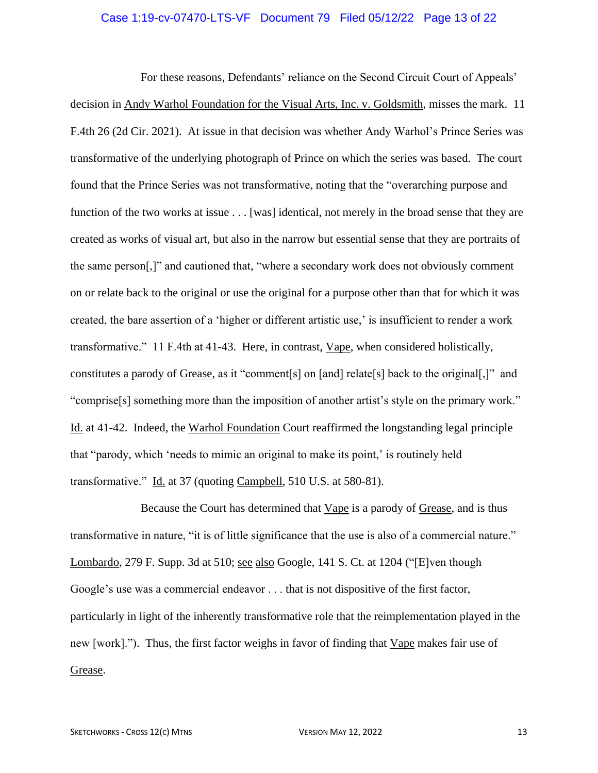# Case 1:19-cv-07470-LTS-VF Document 79 Filed 05/12/22 Page 13 of 22

For these reasons, Defendants' reliance on the Second Circuit Court of Appeals' decision in Andy Warhol Foundation for the Visual Arts, Inc. v. Goldsmith, misses the mark. 11 F.4th 26 (2d Cir. 2021). At issue in that decision was whether Andy Warhol's Prince Series was transformative of the underlying photograph of Prince on which the series was based. The court found that the Prince Series was not transformative, noting that the "overarching purpose and function of the two works at issue . . . [was] identical, not merely in the broad sense that they are created as works of visual art, but also in the narrow but essential sense that they are portraits of the same person[,]" and cautioned that, "where a secondary work does not obviously comment on or relate back to the original or use the original for a purpose other than that for which it was created, the bare assertion of a 'higher or different artistic use,' is insufficient to render a work transformative." 11 F.4th at 41-43. Here, in contrast, Vape, when considered holistically, constitutes a parody of Grease, as it "comment[s] on [and] relate[s] back to the original[,]" and "comprise[s] something more than the imposition of another artist's style on the primary work." Id. at 41-42. Indeed, the Warhol Foundation Court reaffirmed the longstanding legal principle that "parody, which 'needs to mimic an original to make its point,' is routinely held transformative." Id. at 37 (quoting Campbell, 510 U.S. at 580-81).

Because the Court has determined that Vape is a parody of Grease, and is thus transformative in nature, "it is of little significance that the use is also of a commercial nature." Lombardo, 279 F. Supp. 3d at 510; see also Google, 141 S. Ct. at 1204 ("[E]ven though Google's use was a commercial endeavor . . . that is not dispositive of the first factor, particularly in light of the inherently transformative role that the reimplementation played in the new [work]."). Thus, the first factor weighs in favor of finding that Vape makes fair use of Grease.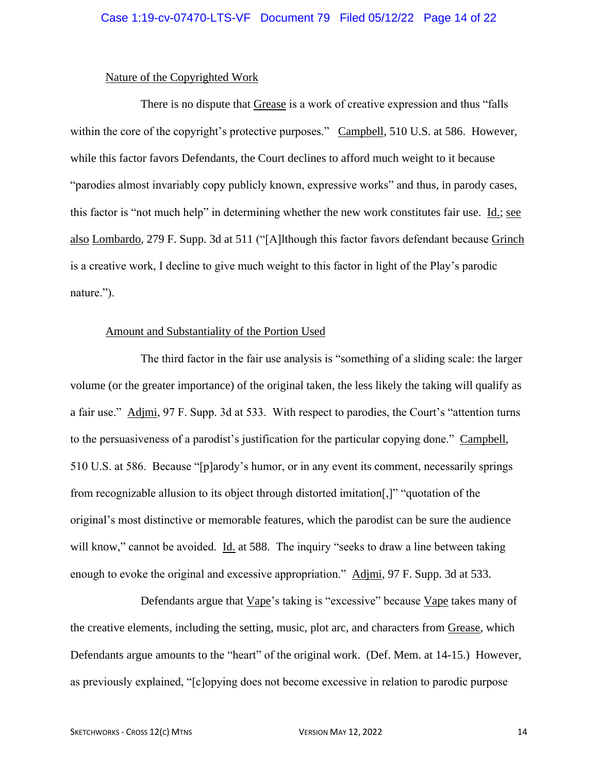#### Nature of the Copyrighted Work

There is no dispute that Grease is a work of creative expression and thus "falls within the core of the copyright's protective purposes." Campbell, 510 U.S. at 586. However, while this factor favors Defendants, the Court declines to afford much weight to it because "parodies almost invariably copy publicly known, expressive works" and thus, in parody cases, this factor is "not much help" in determining whether the new work constitutes fair use. Id.; see also Lombardo, 279 F. Supp. 3d at 511 ("[A]lthough this factor favors defendant because Grinch is a creative work, I decline to give much weight to this factor in light of the Play's parodic nature.").

#### Amount and Substantiality of the Portion Used

The third factor in the fair use analysis is "something of a sliding scale: the larger volume (or the greater importance) of the original taken, the less likely the taking will qualify as a fair use." Adjmi, 97 F. Supp. 3d at 533. With respect to parodies, the Court's "attention turns to the persuasiveness of a parodist's justification for the particular copying done." Campbell, 510 U.S. at 586. Because "[p]arody's humor, or in any event its comment, necessarily springs from recognizable allusion to its object through distorted imitation[,]" "quotation of the original's most distinctive or memorable features, which the parodist can be sure the audience will know," cannot be avoided. Id. at 588. The inquiry "seeks to draw a line between taking enough to evoke the original and excessive appropriation." Adjmi, 97 F. Supp. 3d at 533.

Defendants argue that Vape's taking is "excessive" because Vape takes many of the creative elements, including the setting, music, plot arc, and characters from Grease, which Defendants argue amounts to the "heart" of the original work. (Def. Mem. at 14-15.) However, as previously explained, "[c]opying does not become excessive in relation to parodic purpose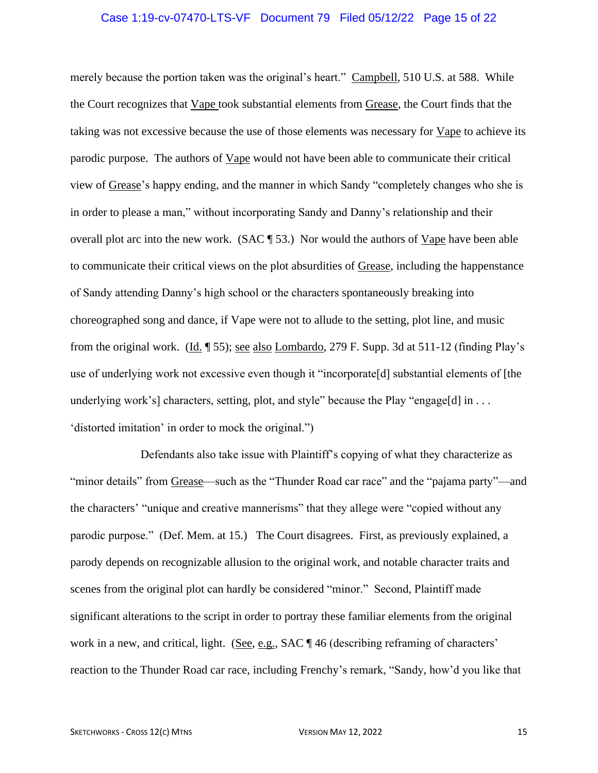### Case 1:19-cv-07470-LTS-VF Document 79 Filed 05/12/22 Page 15 of 22

merely because the portion taken was the original's heart." Campbell, 510 U.S. at 588. While the Court recognizes that Vape took substantial elements from Grease, the Court finds that the taking was not excessive because the use of those elements was necessary for Vape to achieve its parodic purpose. The authors of Vape would not have been able to communicate their critical view of Grease's happy ending, and the manner in which Sandy "completely changes who she is in order to please a man," without incorporating Sandy and Danny's relationship and their overall plot arc into the new work. (SAC  $\P$  53.) Nor would the authors of Vape have been able to communicate their critical views on the plot absurdities of Grease, including the happenstance of Sandy attending Danny's high school or the characters spontaneously breaking into choreographed song and dance, if Vape were not to allude to the setting, plot line, and music from the original work. (Id. ¶ 55); see also Lombardo, 279 F. Supp. 3d at 511-12 (finding Play's use of underlying work not excessive even though it "incorporate[d] substantial elements of [the underlying work's] characters, setting, plot, and style" because the Play "engage[d] in . . . 'distorted imitation' in order to mock the original.")

Defendants also take issue with Plaintiff's copying of what they characterize as "minor details" from Grease—such as the "Thunder Road car race" and the "pajama party"—and the characters' "unique and creative mannerisms" that they allege were "copied without any parodic purpose." (Def. Mem. at 15.) The Court disagrees. First, as previously explained, a parody depends on recognizable allusion to the original work, and notable character traits and scenes from the original plot can hardly be considered "minor." Second, Plaintiff made significant alterations to the script in order to portray these familiar elements from the original work in a new, and critical, light. (See, e.g., SAC ¶ 46 (describing reframing of characters' reaction to the Thunder Road car race, including Frenchy's remark, "Sandy, how'd you like that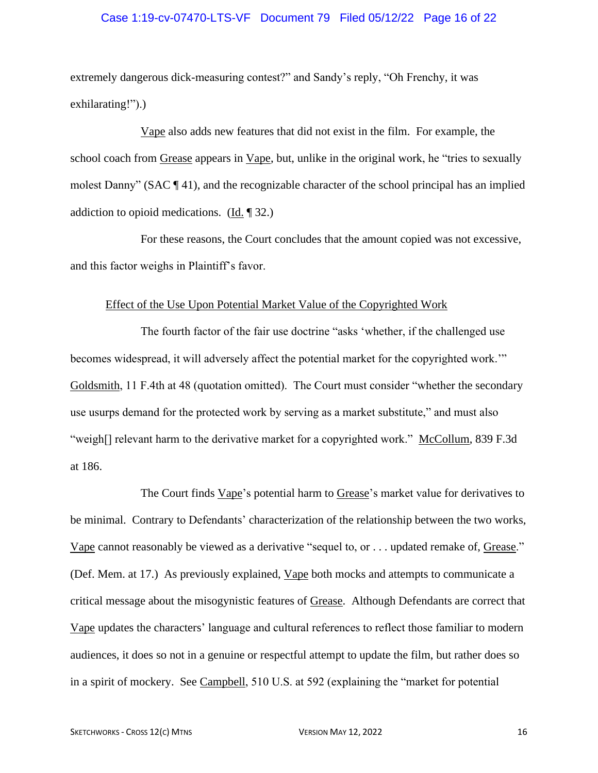# Case 1:19-cv-07470-LTS-VF Document 79 Filed 05/12/22 Page 16 of 22

extremely dangerous dick-measuring contest?" and Sandy's reply, "Oh Frenchy, it was exhilarating!").)

Vape also adds new features that did not exist in the film. For example, the school coach from Grease appears in Vape, but, unlike in the original work, he "tries to sexually molest Danny" (SAC ¶ 41), and the recognizable character of the school principal has an implied addiction to opioid medications. (Id.  $\parallel$  32.)

For these reasons, the Court concludes that the amount copied was not excessive, and this factor weighs in Plaintiff's favor.

#### Effect of the Use Upon Potential Market Value of the Copyrighted Work

The fourth factor of the fair use doctrine "asks 'whether, if the challenged use becomes widespread, it will adversely affect the potential market for the copyrighted work.'" Goldsmith, 11 F.4th at 48 (quotation omitted). The Court must consider "whether the secondary use usurps demand for the protected work by serving as a market substitute," and must also "weigh<sup>[]</sup> relevant harm to the derivative market for a copyrighted work." McCollum, 839 F.3d at 186.

The Court finds Vape's potential harm to Grease's market value for derivatives to be minimal. Contrary to Defendants' characterization of the relationship between the two works, Vape cannot reasonably be viewed as a derivative "sequel to, or . . . updated remake of, Grease." (Def. Mem. at 17.) As previously explained, Vape both mocks and attempts to communicate a critical message about the misogynistic features of Grease. Although Defendants are correct that Vape updates the characters' language and cultural references to reflect those familiar to modern audiences, it does so not in a genuine or respectful attempt to update the film, but rather does so in a spirit of mockery. See Campbell, 510 U.S. at 592 (explaining the "market for potential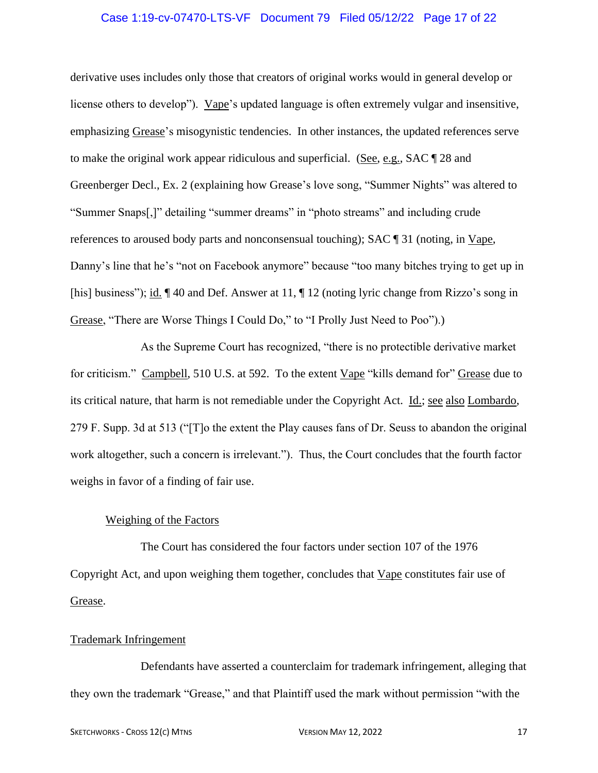# Case 1:19-cv-07470-LTS-VF Document 79 Filed 05/12/22 Page 17 of 22

derivative uses includes only those that creators of original works would in general develop or license others to develop"). Vape's updated language is often extremely vulgar and insensitive, emphasizing Grease's misogynistic tendencies. In other instances, the updated references serve to make the original work appear ridiculous and superficial. (See, e.g., SAC ¶ 28 and Greenberger Decl., Ex. 2 (explaining how Grease's love song, "Summer Nights" was altered to "Summer Snaps[,]" detailing "summer dreams" in "photo streams" and including crude references to aroused body parts and nonconsensual touching); SAC ¶ 31 (noting, in Vape, Danny's line that he's "not on Facebook anymore" because "too many bitches trying to get up in [his] business"); id.  $\P$  40 and Def. Answer at 11,  $\P$  12 (noting lyric change from Rizzo's song in Grease, "There are Worse Things I Could Do," to "I Prolly Just Need to Poo").)

As the Supreme Court has recognized, "there is no protectible derivative market for criticism." Campbell, 510 U.S. at 592. To the extent Vape "kills demand for" Grease due to its critical nature, that harm is not remediable under the Copyright Act. Id.; see also Lombardo, 279 F. Supp. 3d at 513 ("[T]o the extent the Play causes fans of Dr. Seuss to abandon the original work altogether, such a concern is irrelevant."). Thus, the Court concludes that the fourth factor weighs in favor of a finding of fair use.

### Weighing of the Factors

The Court has considered the four factors under section 107 of the 1976 Copyright Act, and upon weighing them together, concludes that Vape constitutes fair use of Grease.

#### Trademark Infringement

Defendants have asserted a counterclaim for trademark infringement, alleging that they own the trademark "Grease," and that Plaintiff used the mark without permission "with the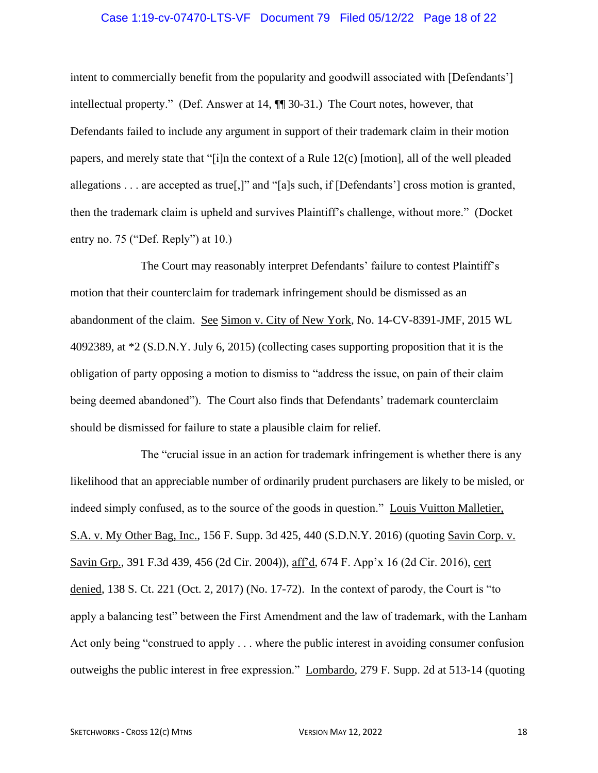# Case 1:19-cv-07470-LTS-VF Document 79 Filed 05/12/22 Page 18 of 22

intent to commercially benefit from the popularity and goodwill associated with [Defendants'] intellectual property." (Def. Answer at 14, ¶¶ 30-31.) The Court notes, however, that Defendants failed to include any argument in support of their trademark claim in their motion papers, and merely state that "[i]n the context of a Rule 12(c) [motion], all of the well pleaded allegations . . . are accepted as true[,]" and "[a]s such, if [Defendants'] cross motion is granted, then the trademark claim is upheld and survives Plaintiff's challenge, without more." (Docket entry no. 75 ("Def. Reply") at 10.)

The Court may reasonably interpret Defendants' failure to contest Plaintiff's motion that their counterclaim for trademark infringement should be dismissed as an abandonment of the claim. See Simon v. City of New York, No. 14-CV-8391-JMF, 2015 WL 4092389, at \*2 (S.D.N.Y. July 6, 2015) (collecting cases supporting proposition that it is the obligation of party opposing a motion to dismiss to "address the issue, on pain of their claim being deemed abandoned"). The Court also finds that Defendants' trademark counterclaim should be dismissed for failure to state a plausible claim for relief.

The "crucial issue in an action for trademark infringement is whether there is any likelihood that an appreciable number of ordinarily prudent purchasers are likely to be misled, or indeed simply confused, as to the source of the goods in question." Louis Vuitton Malletier, S.A. v. My Other Bag, Inc., 156 F. Supp. 3d 425, 440 (S.D.N.Y. 2016) (quoting Savin Corp. v. Savin Grp., 391 F.3d 439, 456 (2d Cir. 2004)), aff'd, 674 F. App'x 16 (2d Cir. 2016), cert denied, 138 S. Ct. 221 (Oct. 2, 2017) (No. 17-72). In the context of parody, the Court is "to apply a balancing test" between the First Amendment and the law of trademark, with the Lanham Act only being "construed to apply . . . where the public interest in avoiding consumer confusion outweighs the public interest in free expression." Lombardo, 279 F. Supp. 2d at 513-14 (quoting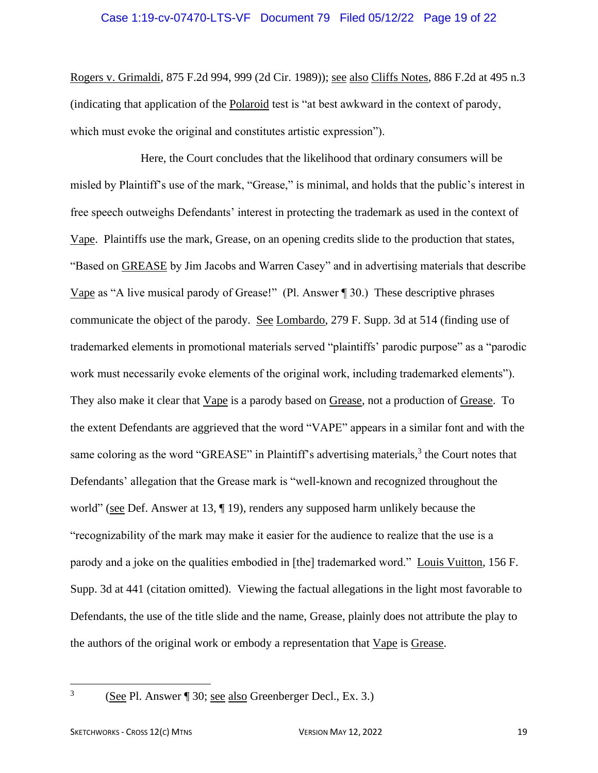Rogers v. Grimaldi, 875 F.2d 994, 999 (2d Cir. 1989)); see also Cliffs Notes, 886 F.2d at 495 n.3 (indicating that application of the Polaroid test is "at best awkward in the context of parody, which must evoke the original and constitutes artistic expression".

Here, the Court concludes that the likelihood that ordinary consumers will be misled by Plaintiff's use of the mark, "Grease," is minimal, and holds that the public's interest in free speech outweighs Defendants' interest in protecting the trademark as used in the context of Vape. Plaintiffs use the mark, Grease, on an opening credits slide to the production that states, "Based on GREASE by Jim Jacobs and Warren Casey" and in advertising materials that describe Vape as "A live musical parody of Grease!" (Pl. Answer ¶ 30.) These descriptive phrases communicate the object of the parody. See Lombardo, 279 F. Supp. 3d at 514 (finding use of trademarked elements in promotional materials served "plaintiffs' parodic purpose" as a "parodic work must necessarily evoke elements of the original work, including trademarked elements"). They also make it clear that Vape is a parody based on Grease, not a production of Grease. To the extent Defendants are aggrieved that the word "VAPE" appears in a similar font and with the same coloring as the word "GREASE" in Plaintiff's advertising materials,<sup>3</sup> the Court notes that Defendants' allegation that the Grease mark is "well-known and recognized throughout the world" (see Def. Answer at 13,  $\P$  19), renders any supposed harm unlikely because the "recognizability of the mark may make it easier for the audience to realize that the use is a parody and a joke on the qualities embodied in [the] trademarked word." Louis Vuitton, 156 F. Supp. 3d at 441 (citation omitted). Viewing the factual allegations in the light most favorable to Defendants, the use of the title slide and the name, Grease, plainly does not attribute the play to the authors of the original work or embody a representation that Vape is Grease.

3

<sup>(</sup>See Pl. Answer ¶ 30; see also Greenberger Decl., Ex. 3.)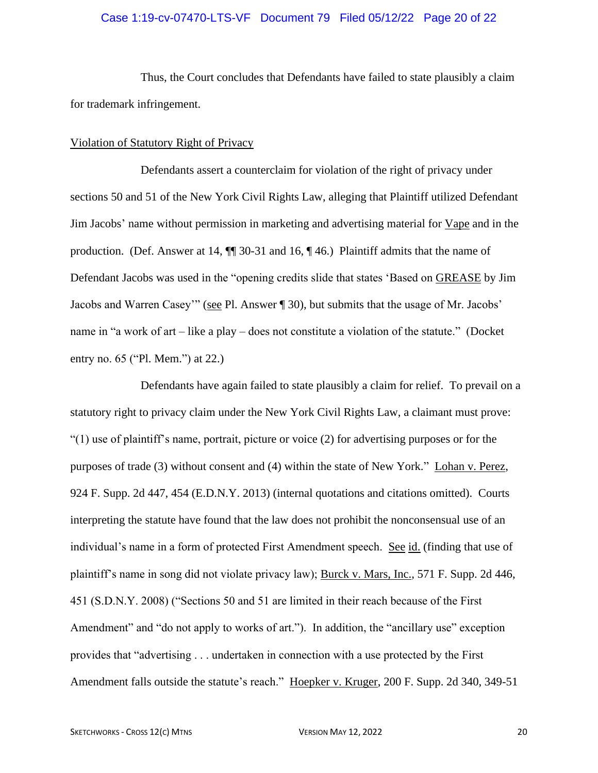### Case 1:19-cv-07470-LTS-VF Document 79 Filed 05/12/22 Page 20 of 22

Thus, the Court concludes that Defendants have failed to state plausibly a claim for trademark infringement.

#### Violation of Statutory Right of Privacy

Defendants assert a counterclaim for violation of the right of privacy under sections 50 and 51 of the New York Civil Rights Law, alleging that Plaintiff utilized Defendant Jim Jacobs' name without permission in marketing and advertising material for Vape and in the production. (Def. Answer at 14, ¶¶ 30-31 and 16, ¶ 46.) Plaintiff admits that the name of Defendant Jacobs was used in the "opening credits slide that states 'Based on GREASE by Jim Jacobs and Warren Casey"" (see Pl. Answer ¶ 30), but submits that the usage of Mr. Jacobs' name in "a work of art – like a play – does not constitute a violation of the statute." (Docket entry no. 65 ("Pl. Mem.") at 22.)

Defendants have again failed to state plausibly a claim for relief. To prevail on a statutory right to privacy claim under the New York Civil Rights Law, a claimant must prove: "(1) use of plaintiff's name, portrait, picture or voice (2) for advertising purposes or for the purposes of trade (3) without consent and (4) within the state of New York." Lohan v. Perez, 924 F. Supp. 2d 447, 454 (E.D.N.Y. 2013) (internal quotations and citations omitted). Courts interpreting the statute have found that the law does not prohibit the nonconsensual use of an individual's name in a form of protected First Amendment speech. See id. (finding that use of plaintiff's name in song did not violate privacy law); Burck v. Mars, Inc., 571 F. Supp. 2d 446, 451 (S.D.N.Y. 2008) ("Sections 50 and 51 are limited in their reach because of the First Amendment" and "do not apply to works of art."). In addition, the "ancillary use" exception provides that "advertising . . . undertaken in connection with a use protected by the First Amendment falls outside the statute's reach." Hoepker v. Kruger, 200 F. Supp. 2d 340, 349-51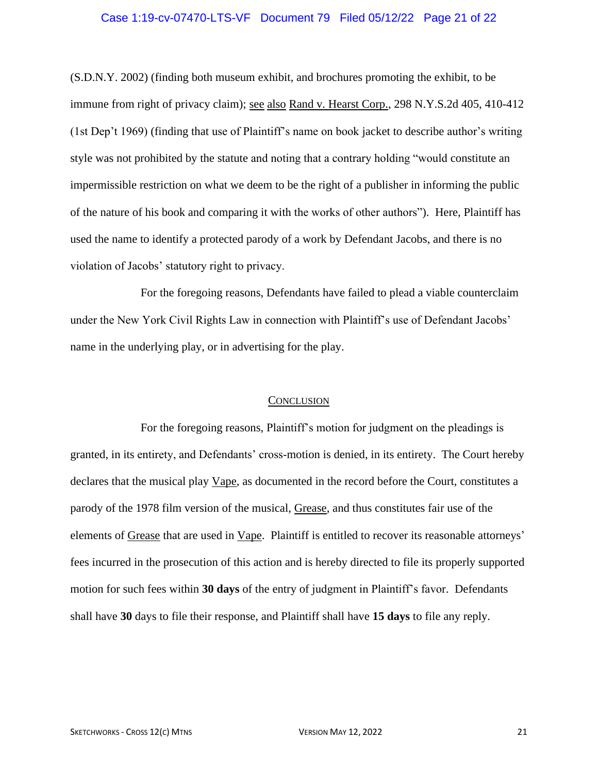# Case 1:19-cv-07470-LTS-VF Document 79 Filed 05/12/22 Page 21 of 22

(S.D.N.Y. 2002) (finding both museum exhibit, and brochures promoting the exhibit, to be immune from right of privacy claim); see also Rand v. Hearst Corp., 298 N.Y.S.2d 405, 410-412 (1st Dep't 1969) (finding that use of Plaintiff's name on book jacket to describe author's writing style was not prohibited by the statute and noting that a contrary holding "would constitute an impermissible restriction on what we deem to be the right of a publisher in informing the public of the nature of his book and comparing it with the works of other authors"). Here, Plaintiff has used the name to identify a protected parody of a work by Defendant Jacobs, and there is no violation of Jacobs' statutory right to privacy.

For the foregoing reasons, Defendants have failed to plead a viable counterclaim under the New York Civil Rights Law in connection with Plaintiff's use of Defendant Jacobs' name in the underlying play, or in advertising for the play.

#### **CONCLUSION**

For the foregoing reasons, Plaintiff's motion for judgment on the pleadings is granted, in its entirety, and Defendants' cross-motion is denied, in its entirety. The Court hereby declares that the musical play Vape, as documented in the record before the Court, constitutes a parody of the 1978 film version of the musical, Grease, and thus constitutes fair use of the elements of Grease that are used in Vape. Plaintiff is entitled to recover its reasonable attorneys' fees incurred in the prosecution of this action and is hereby directed to file its properly supported motion for such fees within **30 days** of the entry of judgment in Plaintiff's favor. Defendants shall have **30** days to file their response, and Plaintiff shall have **15 days** to file any reply.